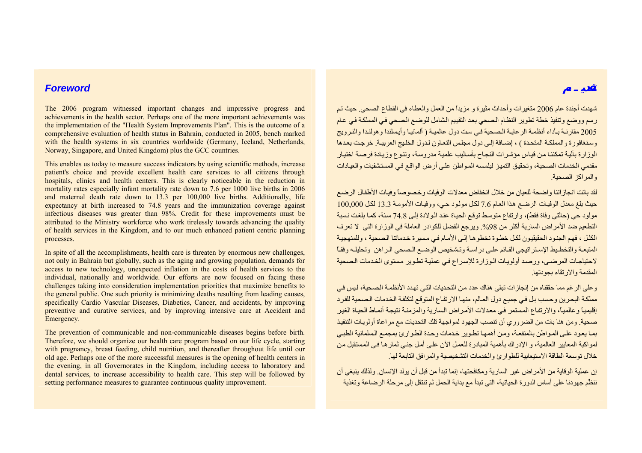## *Foreword*

The 2006 program witnessed important changes and impressive progress and achievements in the health sector. Perhaps one of the more important achievements was the implementation of the "Health System Improvements Plan". This is the outcome of a comprehensive evaluation of health status in Bahrain, conducted in 2005, bench marked with the health systems in six countries worldwide (Germany, Iceland, Netherlands, Norway, Singapore, and United Kingdom) plus the GCC countries.

This enables us today to measure success indicators by using scientific methods, increase patient's choice and provide excellent health care services to all citizens through hospitals, clinics and health centers. This is clearly noticeable in the reduction in mortality rates especially infant mortality rate down to 7.6 per 1000 live births in 2006 and maternal death rate down to 13.3 per 100,000 live births. Additionally, life expectancy at birth increased to 74.8 years and the immunization coverage against infectious diseases was greater than 98%. Credit for these improvements must be attributed to the Ministry workforce who work tirelessly towards advancing the quality of health services in the Kingdom, and to our much enhanced patient centric planning processes.

In spite of all the accomplishments, health care is threaten by enormous new challenges, not only in Bahrain but globally, such as the aging and growing population, demands for access to new technology, unexpected inflation in the costs of health services to the individual, nationally and worldwide. Our efforts are now focused on facing these challenges taking into consideration implementation priorities that maximize benefits to the general public. One such priority is minimizing deaths resulting from leading causes, specifically Cardio Vascular Diseases, Diabetics, Cancer, and accidents, by improving preventive and curative services, and by improving intensive care at Accident and Emergency.

The prevention of communicable and non-communicable diseases begins before birth. Therefore, we should organize our health care program based on our life cycle, starting with pregnancy, breast feeding, child nutrition, and thereafter throughout life until our old age. Perhaps one of the more successful measures is the opening of health centers in the evening, in all Governorates in the Kingdom, including access to laboratory and dental services, to increase accessibility to health care. This step will be followed by setting performance measures to guarantee continuous quality improvement.

شهدت أجندة عام <sup>2006</sup> متغيرات وأحداث مثيرة <sup>و</sup> مزيداً من العمل والعطاء في القطاع الصحي. حيث تѧم رسم ووضع وتنفيذ خطة تطوير النظام الصحي بعد التقييم الشامل للوضع الصحي في المملكة في عام 2005 مقارنـة بـأداء أنظمـة الرعايـة الـصحية فـي ست دول عالميـة ( ألمانيـا وأيسلندا وهولندا والنـرويج وسنغافورة والمملكة المتحدة ) ، إضافة إلى دول مجلس التعاون لدول الخليج العربيبة. خرجت بعدها الوز ار ة بآليـة تمكننـا من قيـاس مؤشر ات النجـاح بأسـاليب علميـة مدر وسـة، وتنـوع وزيـادة فرصـة اختيـار مقدمي الخدمات الصحية، وتحقيق التميز ليلمسه المواطن علي أرض الواقع في المستشفيات والعيادات والمراكز الصحية

لقد باتت انجازاتنا واضحة للعيان من خلال انخفاض معدلات الوفيات وخصوصاً وفيات الأطفال الرضع حيث بلغ معدل الوفيات الرضع هذا العام 7.6 لكل مولود حي، ووفيات الأمومة 13.3 لكل 100,000 مولود حي (حالتي وفاة فقط)، وارتفاع متوسط توقع الحياة عند الولادة إلى 74.8 سنة، كما بلغت نسبة التطعيم ضد الأمر اض السارية أكثر من 98%. ويرجع الفضل للكوادر العاملة في الوزارة التي لا تعرف الكلل ، فهم الجنود الحقيقيون لكل خطوة نخطوها إلى الأمـام في مسيرة خدماتنا الصحية ، وللمنهجيـة المتبعـة والتخطـيط الإسـتر اتيجي القـائم علـي در اسـة وتـشخيص الوضـع الـصحي الـراهن وتحليلـه وفقـاً لاحتياجـات المرضمى، ورصد أولويـات الـوزارة للإسراع فـي عمليـة تطـوير مـستوى الخـدمات الـصحية المقدمة والارتقاء بجودتها.

و على الرغم مما حققناه من إنجاز ات تبقى هناك عدد من التحديات التي تهدد الأنظمـة الـصحية، ليس في مملكة البحرين وحسب بل في جميع دول العالم، منهـا الارتفـاع المتوقـع لتكلفـة الخدمات الـصحية للفرد إقليمياً و عالمياً، والار تفاع المستمر في معدلات الأمر اض السارية والمز منـة نتيجـة أنمـاط الحيـاة الغير صحية. ومن هنا بات من الضروري أن تنصب الجهود لمواجهة تلك التحديات مع مراعاة أولويات التنفيذ بمـا يعود علمى المواطن بالمنفعـة، ومن أهمهـا تطـوير خدمات وحدة الطـوارئ بمجمـع الـسلمانية الطبـي لمو اكبة المعايير العالمية، و الإدر اك بأهمية المبادر ة للعمل الآن علي أمل جني ثمار هـا في المستقبل من خلال توسعة الطاقة الاستيعابية للطوارئ والخدمات التشخيصية والمرافق التابعة لها.

إن عملية الوقاية من الأمراض غير السارية ومكافحتها، إنما تبدأ من قبل أن يولد الإنسان. ولذلك ينبغي أن ننظُم جهودنا على أساس الدورة الحياتية، التي تبدأ مع بداية الحمل ثم تنتقل إلى مرحلة الرضاعة وتغذية